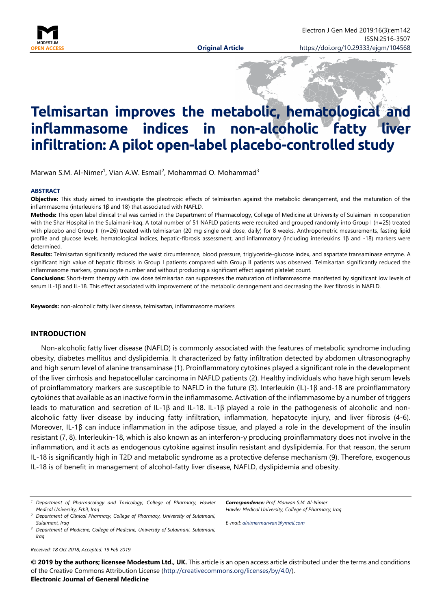

# **Telmisartan improves the metabolic, hematological and inflammasome indices in non-alcoholic fatty liver infiltration: A pilot open-label placebo-controlled study**

Marwan S.M. Al-Nimer<sup>1</sup>, Vian A.W. Esmail<sup>2</sup>, Mohammad O. Mohammad<sup>3</sup>

#### **ABSTRACT**

**Objective:** This study aimed to investigate the pleotropic effects of telmisartan against the metabolic derangement, and the maturation of the inflammasome (interleukins 1β and 18) that associated with NAFLD.

**Methods:** This open label clinical trial was carried in the Department of Pharmacology, College of Medicine at University of Sulaimani in cooperation with the Shar Hospital in the Sulaimani-Iraq. A total number of 51 NAFLD patients were recruited and grouped randomly into Group I (n=25) treated with placebo and Group II (n=26) treated with telmisartan (20 mg single oral dose, daily) for 8 weeks. Anthropometric measurements, fasting lipid profile and glucose levels, hematological indices, hepatic-fibrosis assessment, and inflammatory (including interleukins 1β and -18) markers were determined.

**Results:** Telmisartan significantly reduced the waist circumference, blood pressure, triglyceride-glucose index, and aspartate transaminase enzyme. A significant high value of hepatic fibrosis in Group I patients compared with Group II patients was observed. Telmisartan significantly reduced the inflammasome markers, granulocyte number and without producing a significant effect against platelet count.

**Conclusions:** Short-term therapy with low dose telmisartan can suppresses the maturation of inflammasome manifested by significant low levels of serum IL-1β and IL-18. This effect associated with improvement of the metabolic derangement and decreasing the liver fibrosis in NAFLD.

**Keywords:** non-alcoholic fatty liver disease, telmisartan, inflammasome markers

# **INTRODUCTION**

Non-alcoholic fatty liver disease (NAFLD) is commonly associated with the features of metabolic syndrome including obesity, diabetes mellitus and dyslipidemia. It characterized by fatty infiltration detected by abdomen ultrasonography and high serum level of alanine transaminase (1). Proinflammatory cytokines played a significant role in the development of the liver cirrhosis and hepatocellular carcinoma in NAFLD patients (2). Healthy individuals who have high serum levels of proinflammatory markers are susceptible to NAFLD in the future (3). Interleukin (IL)-1β and-18 are proinflammatory cytokines that available as an inactive form in the inflammasome. Activation of the inflammasome by a number of triggers leads to maturation and secretion of IL-1β and IL-18. IL-1β played a role in the pathogenesis of alcoholic and nonalcoholic fatty liver disease by inducing fatty infiltration, inflammation, hepatocyte injury, and liver fibrosis (4-6). Moreover, IL-1β can induce inflammation in the adipose tissue, and played a role in the development of the insulin resistant (7, 8). Interleukin-18, which is also known as an interferon-γ producing proinflammatory does not involve in the inflammation, and it acts as endogenous cytokine against insulin resistant and dyslipidemia. For that reason, the serum IL-18 is significantly high in T2D and metabolic syndrome as a protective defense mechanism (9). Therefore, exogenous IL-18 is of benefit in management of alcohol-fatty liver disease, NAFLD, dyslipidemia and obesity.

*<sup>1</sup> Department of Pharmacology and Toxicology, College of Pharmacy, Hawler Medical University, Erbil, Iraq*

*<sup>3</sup> Department of Medicine, College of Medicine, University of Sulaimani, Sulaimani, Iraq*

*Received: 18 Oct 2018, Accepted: 19 Feb 2019*

*Correspondence: Prof. Marwan S.M. Al-Nimer Hawler Medical University, College of Pharmacy, Iraq*

*E-mail: [alnimermarwan@ymail.com](mailto:alnimermarwan@ymail.com)*

**© 2019 by the authors; licensee Modestum Ltd., UK.** This article is an open access article distributed under the terms and conditions of the Creative Commons Attribution License [\(http://creativecommons.org/licenses/by/4.0/\)](http://creativecommons.org/licenses/by/4.0/). **Electronic Journal of General Medicine**

*<sup>2</sup> Department of Clinical Pharmacy, College of Pharmacy, University of Sulaimani, Sulaimani, Iraq*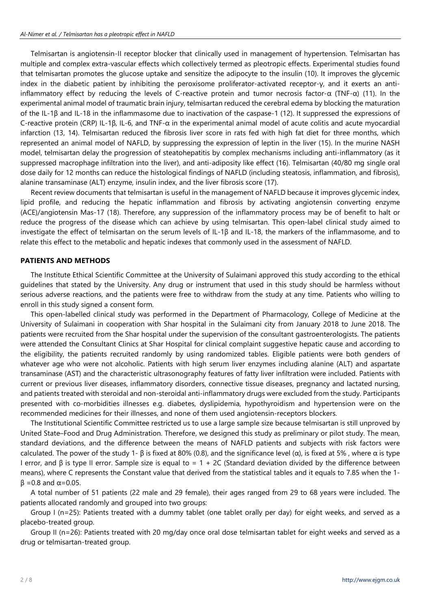Telmisartan is angiotensin-II receptor blocker that clinically used in management of hypertension. Telmisartan has multiple and complex extra-vascular effects which collectively termed as pleotropic effects. Experimental studies found that telmisartan promotes the glucose uptake and sensitize the adipocyte to the insulin (10). It improves the glycemic index in the diabetic patient by inhibiting the peroxisome proliferator-activated receptor-γ, and it exerts an antiinflammatory effect by reducing the levels of C-reactive protein and tumor necrosis factor- $α$  (TNF- $α$ ) (11). In the experimental animal model of traumatic brain injury, telmisartan reduced the cerebral edema by blocking the maturation of the IL-1β and IL-18 in the inflammasome due to inactivation of the caspase-1 (12). It suppressed the expressions of C-reactive protein (CRP) IL-1β, IL-6, and TNF-α in the experimental animal model of acute colitis and acute myocardial infarction (13, 14). Telmisartan reduced the fibrosis liver score in rats fed with high fat diet for three months, which represented an animal model of NAFLD, by suppressing the expression of leptin in the liver (15). In the murine NASH model, telmisartan delay the progression of steatohepatitis by complex mechanisms including anti-inflammatory (as it suppressed macrophage infiltration into the liver), and anti-adiposity like effect (16). Telmisartan (40/80 mg single oral dose daily for 12 months can reduce the histological findings of NAFLD (including steatosis, inflammation, and fibrosis), alanine transaminase (ALT) enzyme, insulin index, and the liver fibrosis score (17).

Recent review documents that telmisartan is useful in the management of NAFLD because it improves glycemic index, lipid profile, and reducing the hepatic inflammation and fibrosis by activating angiotensin converting enzyme (ACE)/angiotensin Mas-17 (18). Therefore, any suppression of the inflammatory process may be of benefit to halt or reduce the progress of the disease which can achieve by using telmisartan. This open-label clinical study aimed to investigate the effect of telmisartan on the serum levels of IL-1β and IL-18, the markers of the inflammasome, and to relate this effect to the metabolic and hepatic indexes that commonly used in the assessment of NAFLD.

# **PATIENTS AND METHODS**

The Institute Ethical Scientific Committee at the University of Sulaimani approved this study according to the ethical guidelines that stated by the University. Any drug or instrument that used in this study should be harmless without serious adverse reactions, and the patients were free to withdraw from the study at any time. Patients who willing to enroll in this study signed a consent form.

This open-labelled clinical study was performed in the Department of Pharmacology, College of Medicine at the University of Sulaimani in cooperation with Shar hospital in the Sulaimani city from January 2018 to June 2018. The patients were recruited from the Shar hospital under the supervision of the consultant gastroenterologists. The patients were attended the Consultant Clinics at Shar Hospital for clinical complaint suggestive hepatic cause and according to the eligibility, the patients recruited randomly by using randomized tables. Eligible patients were both genders of whatever age who were not alcoholic. Patients with high serum liver enzymes including alanine (ALT) and aspartate transaminase (AST) and the characteristic ultrasonography features of fatty liver infiltration were included. Patients with current or previous liver diseases, inflammatory disorders, connective tissue diseases, pregnancy and lactated nursing, and patients treated with steroidal and non-steroidal anti-inflammatory drugs were excluded from the study. Participants presented with co-morbidities illnesses e.g. diabetes, dyslipidemia, hypothyroidism and hypertension were on the recommended medicines for their illnesses, and none of them used angiotensin-receptors blockers.

The Institutional Scientific Committee restricted us to use a large sample size because telmisartan is still unproved by United State–Food and Drug Administration. Therefore, we designed this study as preliminary or pilot study. The mean, standard deviations, and the difference between the means of NAFLD patients and subjects with risk factors were calculated. The power of the study 1- β is fixed at 80% (0.8), and the significance level (α), is fixed at 5%, where  $\alpha$  is type I error, and β is type II error. Sample size is equal to = 1 + 2C (Standard deviation divided by the difference between means), where C represents the Constant value that derived from the statistical tables and it equals to 7.85 when the 1  $β = 0.8$  and  $α = 0.05$ .

A total number of 51 patients (22 male and 29 female), their ages ranged from 29 to 68 years were included. The patients allocated randomly and grouped into two groups:

Group I (n=25): Patients treated with a dummy tablet (one tablet orally per day) for eight weeks, and served as a placebo-treated group.

Group II (n=26): Patients treated with 20 mg/day once oral dose telmisartan tablet for eight weeks and served as a drug or telmisartan-treated group.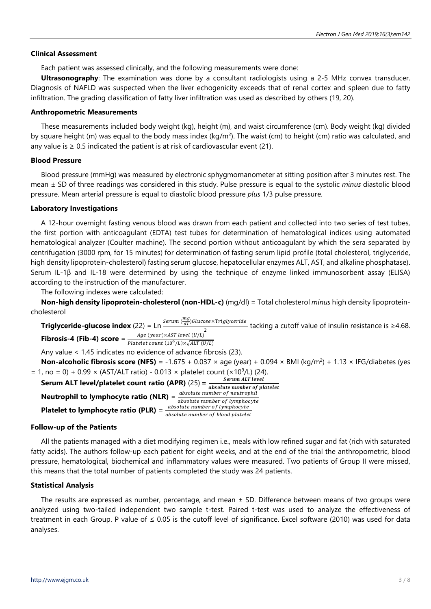# **Clinical Assessment**

Each patient was assessed clinically, and the following measurements were done:

**Ultrasonography**: The examination was done by a consultant radiologists using a 2-5 MHz convex transducer. Diagnosis of NAFLD was suspected when the liver echogenicity exceeds that of renal cortex and spleen due to fatty infiltration. The grading classification of fatty liver infiltration was used as described by others (19, 20).

## **Anthropometric Measurements**

These measurements included body weight (kg), height (m), and waist circumference (cm). Body weight (kg) divided by square height (m) was equal to the body mass index (kg/m<sup>2</sup>). The waist (cm) to height (cm) ratio was calculated, and any value is  $\geq 0.5$  indicated the patient is at risk of cardiovascular event (21).

#### **Blood Pressure**

Blood pressure (mmHg) was measured by electronic sphygmomanometer at sitting position after 3 minutes rest. The mean ± SD of three readings was considered in this study. Pulse pressure is equal to the systolic *minus* diastolic blood pressure. Mean arterial pressure is equal to diastolic blood pressure *plus* 1/3 pulse pressure.

## **Laboratory Investigations**

A 12-hour overnight fasting venous blood was drawn from each patient and collected into two series of test tubes, the first portion with anticoagulant (EDTA) test tubes for determination of hematological indices using automated hematological analyzer (Coulter machine). The second portion without anticoagulant by which the sera separated by centrifugation (3000 rpm, for 15 minutes) for determination of fasting serum lipid profile (total cholesterol, triglyceride, high density lipoprotein-cholesterol) fasting serum glucose, hepatocellular enzymes ALT, AST, and alkaline phosphatase). Serum IL-1β and IL-18 were determined by using the technique of enzyme linked immunosorbent assay (ELISA) according to the instruction of the manufacturer.

The following indexes were calculated:

**Non-high density lipoprotein-cholesterol (non-HDL-c)** (mg/dl) = Total cholesterol *minus* high density lipoproteincholesterol

**Triglyceride-glucose index** (22) = Ln <u>serum ( $\frac{mg}{dt}$ )Glucose×Triglyceride</u><br>University of insulin resistance is ≥4.68. **Fibrosis-4** (Fib-4) **score** =  $\frac{Age\ (year)\times AST\ level\ (U/L)}{N}$ 

Platelet count  $(10^9/L)\times\sqrt{ALT (U/L)}$ 

Any value < 1.45 indicates no evidence of advance fibrosis (23). **Non-alcoholic fibrosis score (NFS)** = -1.675 + 0.037  $\times$  age (year) + 0.094  $\times$  BMI (kg/m<sup>2</sup>) + 1.13  $\times$  IFG/diabetes (yes  $= 1$ , no  $= 0$ ) + 0.99 × (AST/ALT ratio) - 0.013 × platelet count (×10<sup>9</sup>/L) (24).

**Serum ALT level/platelet count ratio (APR)** (25) **= Neutrophil to lymphocyte ratio** (NLR) =  $\frac{absolute\ number\ of\ neutral\ position\ no\ 1}$ **Platelet to lymphocyte ratio** (PLR) =  $\frac{absolute\ number\ of\ lymphocy}{absolute\ number\ of\ blood\ plate}$ 

#### **Follow-up of the Patients**

All the patients managed with a diet modifying regimen i.e., meals with low refined sugar and fat (rich with saturated fatty acids). The authors follow-up each patient for eight weeks, and at the end of the trial the anthropometric, blood pressure, hematological, biochemical and inflammatory values were measured. Two patients of Group II were missed, this means that the total number of patients completed the study was 24 patients.

## **Statistical Analysis**

The results are expressed as number, percentage, and mean  $\pm$  SD. Difference between means of two groups were analyzed using two-tailed independent two sample t-test. Paired t-test was used to analyze the effectiveness of treatment in each Group. P value of  $\leq 0.05$  is the cutoff level of significance. Excel software (2010) was used for data analyses.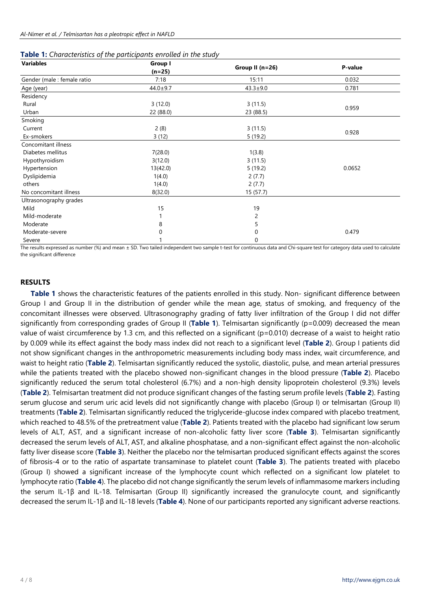| <b>Table 1:</b> Characteristics of the participants enrolled in the study |  |  |  |
|---------------------------------------------------------------------------|--|--|--|
|---------------------------------------------------------------------------|--|--|--|

| <b>Variables</b>            | <b>Group I</b><br>$(n=25)$ | Group II $(n=26)$ | P-value |  |
|-----------------------------|----------------------------|-------------------|---------|--|
| Gender (male : female ratio | 7:18                       | 15:11             | 0.032   |  |
| Age (year)                  | $44.0 \pm 9.7$             | $43.3 \pm 9.0$    | 0.781   |  |
| Residency                   |                            |                   |         |  |
| Rural                       | 3(12.0)                    | 3(11.5)           |         |  |
| Urban                       | 22 (88.0)                  | 23 (88.5)         | 0.959   |  |
| Smoking                     |                            |                   |         |  |
| Current                     | 2(8)                       | 3(11.5)           |         |  |
| Ex-smokers                  | 3(12)                      | 5(19.2)           | 0.928   |  |
| Concomitant illness         |                            |                   |         |  |
| Diabetes mellitus           | 7(28.0)                    | 1(3.8)            |         |  |
| Hypothyroidism              | 3(12.0)                    | 3(11.5)           |         |  |
| Hypertension                | 13(42.0)                   | 5(19.2)           | 0.0652  |  |
| Dyslipidemia                | 1(4.0)                     | 2(7.7)            |         |  |
| others                      | 1(4.0)                     | 2(7.7)            |         |  |
| No concomitant illness      | 8(32.0)                    | 15(57.7)          |         |  |
| Ultrasonography grades      |                            |                   |         |  |
| Mild                        | 15                         | 19                |         |  |
| Mild-moderate               |                            | 2                 |         |  |
| Moderate                    | 8                          | 5                 |         |  |
| Moderate-severe             | 0                          | 0                 | 0.479   |  |
| Severe                      |                            | $\mathbf 0$       |         |  |

The results expressed as number (%) and mean ± SD. Two tailed independent two sample t-test for continuous data and Chi-square test for category data used to calculate the significant difference

# **RESULTS**

**Table 1** shows the characteristic features of the patients enrolled in this study. Non- significant difference between Group I and Group II in the distribution of gender while the mean age, status of smoking, and frequency of the concomitant illnesses were observed. Ultrasonography grading of fatty liver infiltration of the Group I did not differ significantly from corresponding grades of Group II (**Table 1**). Telmisartan significantly (p=0.009) decreased the mean value of waist circumference by 1.3 cm, and this reflected on a significant (p=0.010) decrease of a waist to height ratio by 0.009 while its effect against the body mass index did not reach to a significant level (**Table 2**). Group I patients did not show significant changes in the anthropometric measurements including body mass index, wait circumference, and waist to height ratio (**Table 2**). Telmisartan significantly reduced the systolic, diastolic, pulse, and mean arterial pressures while the patients treated with the placebo showed non-significant changes in the blood pressure (**Table 2**). Placebo significantly reduced the serum total cholesterol (6.7%) and a non-high density lipoprotein cholesterol (9.3%) levels (**Table 2**). Telmisartan treatment did not produce significant changes of the fasting serum profile levels (**Table 2**). Fasting serum glucose and serum uric acid levels did not significantly change with placebo (Group I) or telmisartan (Group II) treatments (**Table 2**). Telmisartan significantly reduced the triglyceride-glucose index compared with placebo treatment, which reached to 48.5% of the pretreatment value (**Table 2**). Patients treated with the placebo had significant low serum levels of ALT, AST, and a significant increase of non-alcoholic fatty liver score (**Table 3**). Telmisartan significantly decreased the serum levels of ALT, AST, and alkaline phosphatase, and a non-significant effect against the non-alcoholic fatty liver disease score (**Table 3**). Neither the placebo nor the telmisartan produced significant effects against the scores of fibrosis-4 or to the ratio of aspartate transaminase to platelet count (**Table 3**). The patients treated with placebo (Group I) showed a significant increase of the lymphocyte count which reflected on a significant low platelet to lymphocyte ratio (**Table 4**). The placebo did not change significantly the serum levels of inflammasome markers including the serum IL-1β and IL-18. Telmisartan (Group II) significantly increased the granulocyte count, and significantly decreased the serum IL-1β and IL-18 levels (**Table 4**). None of our participants reported any significant adverse reactions.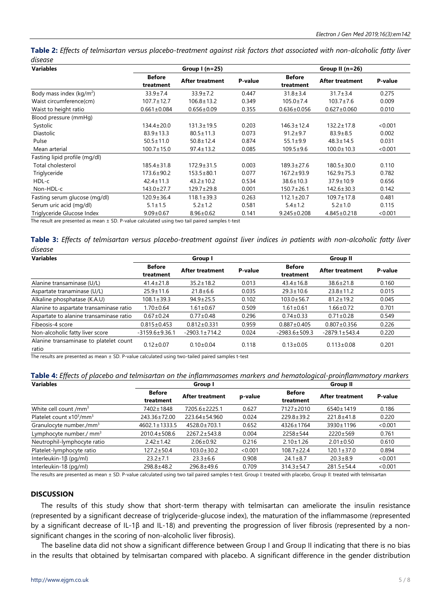Table 2: Effects of telmisartan versus placebo-treatment against risk factors that associated with non-alcoholic fatty liver *disease*

| <b>Variables</b>              | Group $l(n=25)$            |                  |         | Group II $(n=26)$          |                        |         |  |
|-------------------------------|----------------------------|------------------|---------|----------------------------|------------------------|---------|--|
|                               | <b>Before</b><br>treatment | After treatment  | P-value | <b>Before</b><br>treatment | <b>After treatment</b> | P-value |  |
| Body mass index ( $kg/m2$ )   | $33.9 \pm 7.4$             | $33.9 \pm 7.2$   | 0.447   | $31.8 \pm 3.4$             | $31.7 \pm 3.4$         | 0.275   |  |
| Waist circumference(cm)       | $107.7 \pm 12.7$           | $106.8 \pm 13.2$ | 0.349   | $105.0 \pm 7.4$            | $103.7 \pm 7.6$        | 0.009   |  |
| Waist to height ratio         | $0.661 \pm 0.084$          | $0.656 \pm 0.09$ | 0.355   | $0.636 \pm 0.056$          | $0.627 \pm 0.060$      | 0.010   |  |
| Blood pressure (mmHq)         |                            |                  |         |                            |                        |         |  |
| Systolic                      | $134.4 \pm 20.0$           | $131.3 \pm 19.5$ | 0.203   | $146.3 \pm 12.4$           | $132.2 \pm 17.8$       | < 0.001 |  |
| <b>Diastolic</b>              | $83.9 \pm 13.3$            | $80.5 \pm 11.3$  | 0.073   | $91.2 \pm 9.7$             | $83.9 \pm 8.5$         | 0.002   |  |
| Pulse                         | $50.5 \pm 11.0$            | $50.8 \pm 12.4$  | 0.874   | $55.1 \pm 9.9$             | $48.3 \pm 14.5$        | 0.031   |  |
| Mean arterial                 | $100.7 \pm 15.0$           | $97.4 \pm 13.2$  | 0.085   | $109.5 \pm 9.6$            | $100.0 \pm 10.3$       | < 0.001 |  |
| Fasting lipid profile (mg/dl) |                            |                  |         |                            |                        |         |  |
| Total cholesterol             | $185.4 \pm 31.8$           | $172.9 \pm 31.5$ | 0.003   | $189.3 \pm 27.6$           | $180.5 \pm 30.0$       | 0.110   |  |
| Triglyceride                  | $173.6 \pm 90.2$           | $153.5 \pm 80.1$ | 0.077   | $167.2 + 93.9$             | $162.9 + 75.3$         | 0.782   |  |
| HDL-c                         | $42.4 \pm 11.3$            | $43.2 \pm 10.2$  | 0.534   | $38.6 \pm 10.3$            | $37.9 \pm 10.9$        | 0.656   |  |
| Non-HDL-c                     | $143.0 \pm 27.7$           | 129.7±29.8       | 0.001   | $150.7 \pm 26.1$           | $142.6 \pm 30.3$       | 0.142   |  |
| Fasting serum glucose (mg/dl) | $120.9 \pm 36.4$           | $118.1 \pm 39.3$ | 0.263   | $112.1 \pm 20.7$           | $109.7 \pm 17.8$       | 0.481   |  |
| Serum uric acid (mg/dl)       | $5.1 \pm 1.5$              | $5.2 \pm 1.2$    | 0.581   | $5.4 \pm 1.2$              | $5.2 \pm 1.0$          | 0.115   |  |
| Triglyceride Glucose Index    | $9.09 \pm 0.67$            | $8.96 \pm 0.62$  | 0.141   | $9.245 \pm 0.208$          | $4.845 \pm 0.218$      | < 0.001 |  |

The result are presented as mean ± SD. P-value calculated using two tail paired samples t-test

Table 3: Effects of telmisartan versus placebo-treatment against liver indices in patients with non-alcoholic fatty liver *disease*

| <b>Variables</b>                                |                            | Group I             |         |                            | <b>Group II</b>        |         |  |
|-------------------------------------------------|----------------------------|---------------------|---------|----------------------------|------------------------|---------|--|
|                                                 | <b>Before</b><br>treatment | After treatment     | P-value | <b>Before</b><br>treatment | <b>After treatment</b> | P-value |  |
| Alanine transaminase (U/L)                      | $41.4 \pm 21.8$            | $35.2 \pm 18.2$     | 0.013   | $43.4 \pm 16.8$            | $38.6 \pm 21.8$        | 0.160   |  |
| Aspartate tranaminase (U/L)                     | $25.9 \pm 11.6$            | $21.8 \pm 6.6$      | 0.035   | $29.3 \pm 10.6$            | $23.8 \pm 11.2$        | 0.015   |  |
| Alkaline phosphatase (K.A.U)                    | $108.1 \pm 39.3$           | $94.9 \pm 25.5$     | 0.102   | $103.0 \pm 56.7$           | $81.2 \pm 19.2$        | 0.045   |  |
| Alanine to aspartate transaminase ratio         | $1.70 \pm 0.64$            | $1.61 \pm 0.67$     | 0.509   | $1.61 \pm 0.61$            | $1.66 \pm 0.72$        | 0.701   |  |
| Aspartate to alanine transaminase ratio         | $0.67 \pm 0.24$            | $0.77 \pm 0.48$     | 0.296   | $0.74 \pm 0.33$            | $0.71 \pm 0.28$        | 0.549   |  |
| Fibeosis-4 score                                | $0.815 \pm 0.453$          | $0.812 \pm 0.331$   | 0.959   | $0.887 \pm 0.405$          | $0.807 \pm 0.356$      | 0.226   |  |
| Non-alcoholic fatty liver score                 | $-3159.6 \pm 9.36.1$       | $-2903.1 \pm 714.2$ | 0.024   | $-2983.6 \pm 509.3$        | $-2879.1 \pm 543.4$    | 0.220   |  |
| Alanine transaminase to platelet count<br>ratio | $0.12 \pm 0.07$            | $0.10 \pm 0.04$     | 0.118   | $0.13 \pm 0.05$            | $0.113 \pm 0.08$       | 0.201   |  |

The results are presented as mean ± SD. P-value calculated using two-tailed paired samples t-test

| Table 4: Effects of placebo and telmisartan on the inflammasomes markers and hematological-proinflammatory markers |
|--------------------------------------------------------------------------------------------------------------------|
|--------------------------------------------------------------------------------------------------------------------|

| <b>Variables</b>                    |                            | <b>Group I</b>     |         |                            | <b>Group II</b>  |         |  |
|-------------------------------------|----------------------------|--------------------|---------|----------------------------|------------------|---------|--|
|                                     | <b>Before</b><br>treatment | After treatment    | p-value | <b>Before</b><br>treatment | After treatment  | P-value |  |
| White cell count /mm <sup>3</sup>   | 7402±1848                  | 7205.6±2225.1      | 0.627   | 7127±2010                  | 6540±1419        | 0.186   |  |
| Platelet count $x10^3/\text{mm}^3$  | 243.36±72.00               | 223.64±54.960      | 0.024   | $229.8 \pm 39.2$           | $221.8 \pm 41.8$ | 0.220   |  |
| Granulocyte number./mm <sup>3</sup> | $4602.1 \pm 1333.5$        | 4528.0±703.1       | 0.652   | 4326±1764                  | $3930 \pm 1196$  | < 0.001 |  |
| Lymphocyte number./ mm <sup>3</sup> | 2010.4±508.6               | $2267.2 \pm 543.8$ | 0.004   | $2258 + 544$               | $2220 \pm 569$   | 0.761   |  |
| Neutrophil-lymphocyte ratio         | $2.42 \pm 1.42$            | $2.06 \pm 0.92$    | 0.216   | $2.10 \pm 1.26$            | $2.01 \pm 0.50$  | 0.610   |  |
| Platelet-lymphocyte ratio           | $127.2 \pm 50.4$           | $103.0 \pm 30.2$   | < 0.001 | $108.7 \pm 22.4$           | $120.1 \pm 37.0$ | 0.894   |  |
| Interleukin-1 $\beta$ (pg/ml)       | $23.2 \pm 7.1$             | $23.3 \pm 6.6$     | 0.908   | $24.1 \pm 8.7$             | $20.3 + 8.9$     | <0.001  |  |
| Interleukin-18 (pg/ml)              | $298.8 \pm 48.2$           | $296.8 + 49.6$     | 0.709   | $314.3 \pm 54.7$           | $281.5 \pm 54.4$ | < 0.001 |  |

The results are presented as mean ± SD. P-value calculated using two tail paired samples t-test. Group I: treated with placebo, Group II: treated with telmisartan

# **DISCUSSION**

The results of this study show that short-term therapy with telmisartan can ameliorate the insulin resistance (represented by a significant decrease of triglyceride-glucose index), the maturation of the inflammasome (represented by a significant decrease of IL-1β and IL-18) and preventing the progression of liver fibrosis (represented by a nonsignificant changes in the scoring of non-alcoholic liver fibrosis).

The baseline data did not show a significant difference between Group I and Group II indicating that there is no bias in the results that obtained by telmisartan compared with placebo. A significant difference in the gender distribution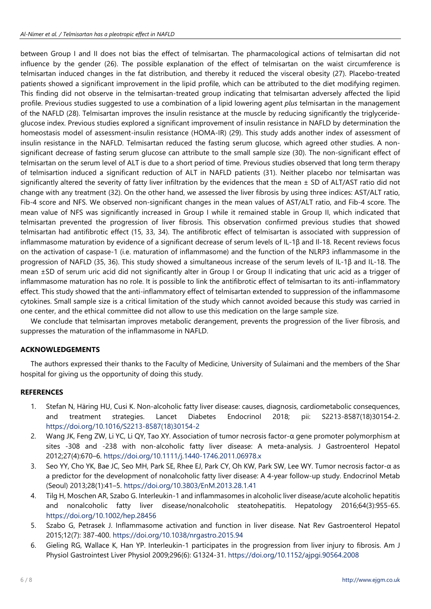between Group I and II does not bias the effect of telmisartan. The pharmacological actions of telmisartan did not influence by the gender (26). The possible explanation of the effect of telmisartan on the waist circumference is telmisartan induced changes in the fat distribution, and thereby it reduced the visceral obesity (27). Placebo-treated patients showed a significant improvement in the lipid profile, which can be attributed to the diet modifying regimen. This finding did not observe in the telmisartan-treated group indicating that telmisartan adversely affected the lipid profile. Previous studies suggested to use a combination of a lipid lowering agent *plus* telmisartan in the management of the NAFLD (28). Telmisartan improves the insulin resistance at the muscle by reducing significantly the triglycerideglucose index. Previous studies explored a significant improvement of insulin resistance in NAFLD by determination the homeostasis model of assessment-insulin resistance (HOMA-IR) (29). This study adds another index of assessment of insulin resistance in the NAFLD. Telmisartan reduced the fasting serum glucose, which agreed other studies. A nonsignificant decrease of fasting serum glucose can attribute to the small sample size (30). The non-significant effect of telmisartan on the serum level of ALT is due to a short period of time. Previous studies observed that long term therapy of telmisartion induced a significant reduction of ALT in NAFLD patients (31). Neither placebo nor telmisartan was significantly altered the severity of fatty liver infiltration by the evidences that the mean ± SD of ALT/AST ratio did not change with any treatment (32). On the other hand, we assessed the liver fibrosis by using three indices: AST/ALT ratio, Fib-4 score and NFS. We observed non-significant changes in the mean values of AST/ALT ratio, and Fib-4 score. The mean value of NFS was significantly increased in Group I while it remained stable in Group II, which indicated that telmisartan prevented the progression of liver fibrosis. This observation confirmed previous studies that showed telmisartan had antifibrotic effect (15, 33, 34). The antifibrotic effect of telmisartan is associated with suppression of inflammasome maturation by evidence of a significant decrease of serum levels of IL-1β and Il-18. Recent reviews focus on the activation of caspase-1 (i.e. maturation of inflammasome) and the function of the NLRP3 inflammasome in the progression of NAFLD (35, 36). This study showed a simultaneous increase of the serum levels of IL-1β and IL-18. The mean ±SD of serum uric acid did not significantly alter in Group I or Group II indicating that uric acid as a trigger of inflammasome maturation has no role. It is possible to link the antifibrotic effect of telmisartan to its anti-inflammatory effect. This study showed that the anti-inflammatory effect of telmisartan extended to suppression of the inflammasome cytokines. Small sample size is a critical limitation of the study which cannot avoided because this study was carried in one center, and the ethical committee did not allow to use this medication on the large sample size.

We conclude that telmisartan improves metabolic derangement, prevents the progression of the liver fibrosis, and suppresses the maturation of the inflammasome in NAFLD.

# **ACKNOWLEDGEMENTS**

The authors expressed their thanks to the Faculty of Medicine, University of Sulaimani and the members of the Shar hospital for giving us the opportunity of doing this study.

# **REFERENCES**

- 1. Stefan N, Häring HU, Cusi K. Non-alcoholic fatty liver disease: causes, diagnosis, cardiometabolic consequences, and treatment strategies. Lancet Diabetes Endocrinol 2018; pii: S2213-8587(18)30154-2. [https://doi.org/10.1016/S2213-8587\(18\)30154-2](https://doi.org/10.1016/S2213-8587(18)30154-2)
- 2. Wang JK, Feng ZW, Li YC, Li QY, Tao XY. Association of tumor necrosis factor-α gene promoter polymorphism at sites -308 and -238 with non-alcoholic fatty liver disease: A meta-analysis. J Gastroenterol Hepatol 2012;27(4):670–6. <https://doi.org/10.1111/j.1440-1746.2011.06978.x>
- 3. Seo YY, Cho YK, Bae JC, Seo MH, Park SE, Rhee EJ, Park CY, Oh KW, Park SW, Lee WY. Tumor necrosis factor-α as a predictor for the development of nonalcoholic fatty liver disease: A 4-year follow-up study. Endocrinol Metab (Seoul) 2013;28(1):41–5. <https://doi.org/10.3803/EnM.2013.28.1.41>
- 4. Tilg H, Moschen AR, Szabo G. Interleukin-1 and inflammasomes in alcoholic liver disease/acute alcoholic hepatitis and nonalcoholic fatty liver disease/nonalcoholic steatohepatitis. Hepatology 2016;64(3):955-65. <https://doi.org/10.1002/hep.28456>
- 5. Szabo G, Petrasek J. Inflammasome activation and function in liver disease. Nat Rev Gastroenterol Hepatol 2015;12(7): 387-400. <https://doi.org/10.1038/nrgastro.2015.94>
- 6. Gieling RG, Wallace K, Han YP. Interleukin-1 participates in the progression from liver injury to fibrosis. Am J Physiol Gastrointest Liver Physiol 2009;296(6): G1324-31. <https://doi.org/10.1152/ajpgi.90564.2008>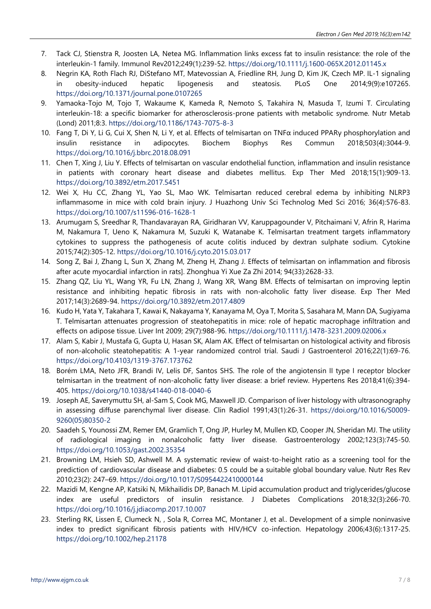- 7. Tack CJ, Stienstra R, Joosten LA, Netea MG. Inflammation links excess fat to insulin resistance: the role of the interleukin-1 family. Immunol Rev2012;249(1):239-52. <https://doi.org/10.1111/j.1600-065X.2012.01145.x>
- 8. Negrin KA, Roth Flach RJ, DiStefano MT, Matevossian A, Friedline RH, Jung D, Kim JK, Czech MP. IL-1 signaling in obesity-induced hepatic lipogenesis and steatosis. PLoS One 2014;9(9):e107265. <https://doi.org/10.1371/journal.pone.0107265>
- 9. Yamaoka-Tojo M, Tojo T, Wakaume K, Kameda R, Nemoto S, Takahira N, Masuda T, Izumi T. Circulating interleukin-18: a specific biomarker for atherosclerosis-prone patients with metabolic syndrome. Nutr Metab (Lond) 2011;8:3. <https://doi.org/10.1186/1743-7075-8-3>
- 10. Fang T, Di Y, Li G, Cui X, Shen N, Li Y, et al. Effects of telmisartan on TNFα induced PPARγ phosphorylation and insulin resistance in adipocytes. Biochem Biophys Res Commun 2018;503(4):3044-9. <https://doi.org/10.1016/j.bbrc.2018.08.091>
- 11. Chen T, Xing J, Liu Y. Effects of telmisartan on vascular endothelial function, inflammation and insulin resistance in patients with coronary heart disease and diabetes mellitus. Exp Ther Med 2018;15(1):909-13. <https://doi.org/10.3892/etm.2017.5451>
- 12. Wei X, Hu CC, Zhang YL, Yao SL, Mao WK. Telmisartan reduced cerebral edema by inhibiting NLRP3 inflammasome in mice with cold brain injury. J Huazhong Univ Sci Technolog Med Sci 2016; 36(4):576-83. <https://doi.org/10.1007/s11596-016-1628-1>
- 13. Arumugam S, Sreedhar R, Thandavarayan RA, Giridharan VV, Karuppagounder V, Pitchaimani V, Afrin R, Harima M, Nakamura T, Ueno K, Nakamura M, Suzuki K, Watanabe K. Telmisartan treatment targets inflammatory cytokines to suppress the pathogenesis of acute colitis induced by dextran sulphate sodium. Cytokine 2015;74(2):305-12. <https://doi.org/10.1016/j.cyto.2015.03.017>
- 14. Song Z, Bai J, Zhang L, Sun X, Zhang M, Zheng H, Zhang J. Effects of telmisartan on inflammation and fibrosis after acute myocardial infarction in rats]. Zhonghua Yi Xue Za Zhi 2014; 94(33):2628-33.
- 15. Zhang QZ, Liu YL, Wang YR, Fu LN, Zhang J, Wang XR, Wang BM. Effects of telmisartan on improving leptin resistance and inhibiting hepatic fibrosis in rats with non-alcoholic fatty liver disease. Exp Ther Med 2017;14(3):2689-94. <https://doi.org/10.3892/etm.2017.4809>
- 16. Kudo H, Yata Y, Takahara T, Kawai K, Nakayama Y, Kanayama M, Oya T, Morita S, Sasahara M, Mann DA, Sugiyama T. Telmisartan attenuates progression of steatohepatitis in mice: role of hepatic macrophage infiltration and effects on adipose tissue. Liver Int 2009; 29(7):988-96. <https://doi.org/10.1111/j.1478-3231.2009.02006.x>
- 17. Alam S, Kabir J, Mustafa G, Gupta U, Hasan SK, Alam AK. Effect of telmisartan on histological activity and fibrosis of non-alcoholic steatohepatitis: A 1-year randomized control trial. Saudi J Gastroenterol 2016;22(1):69-76. <https://doi.org/10.4103/1319-3767.173762>
- 18. Borém LMA, Neto JFR, Brandi IV, Lelis DF, Santos SHS. The role of the angiotensin II type I receptor blocker telmisartan in the treatment of non-alcoholic fatty liver disease: a brief review. Hypertens Res 2018;41(6):394- 405. <https://doi.org/10.1038/s41440-018-0040-6>
- 19. Joseph AE, Saverymuttu SH, al-Sam S, Cook MG, Maxwell JD. Comparison of liver histology with ultrasonography in assessing diffuse parenchymal liver disease. Clin Radiol 1991;43(1):26-31. [https://doi.org/10.1016/S0009-](https://doi.org/10.1016/S0009-9260(05)80350-2) [9260\(05\)80350-2](https://doi.org/10.1016/S0009-9260(05)80350-2)
- 20. Saadeh S, Younossi ZM, Remer EM, Gramlich T, Ong JP, Hurley M, Mullen KD, Cooper JN, Sheridan MJ. The utility of radiological imaging in nonalcoholic fatty liver disease. Gastroenterology 2002;123(3):745-50. <https://doi.org/10.1053/gast.2002.35354>
- 21. Browning LM, Hsieh SD, Ashwell M. A systematic review of waist-to-height ratio as a screening tool for the prediction of cardiovascular disease and diabetes: 0.5 could be a suitable global boundary value. Nutr Res Rev 2010;23(2): 247–69. <https://doi.org/10.1017/S0954422410000144>
- 22. Mazidi M, Kengne AP, Katsiki N, Mikhailidis DP, Banach M. Lipid accumulation product and triglycerides/glucose index are useful predictors of insulin resistance. J Diabetes Complications 2018;32(3):266-70. <https://doi.org/10.1016/j.jdiacomp.2017.10.007>
- 23. Sterling RK, Lissen E, Clumeck N, , Sola R, Correa MC, Montaner J, et al.. Development of a simple noninvasive index to predict significant fibrosis patients with HIV/HCV co-infection. Hepatology 2006;43(6):1317-25. <https://doi.org/10.1002/hep.21178>